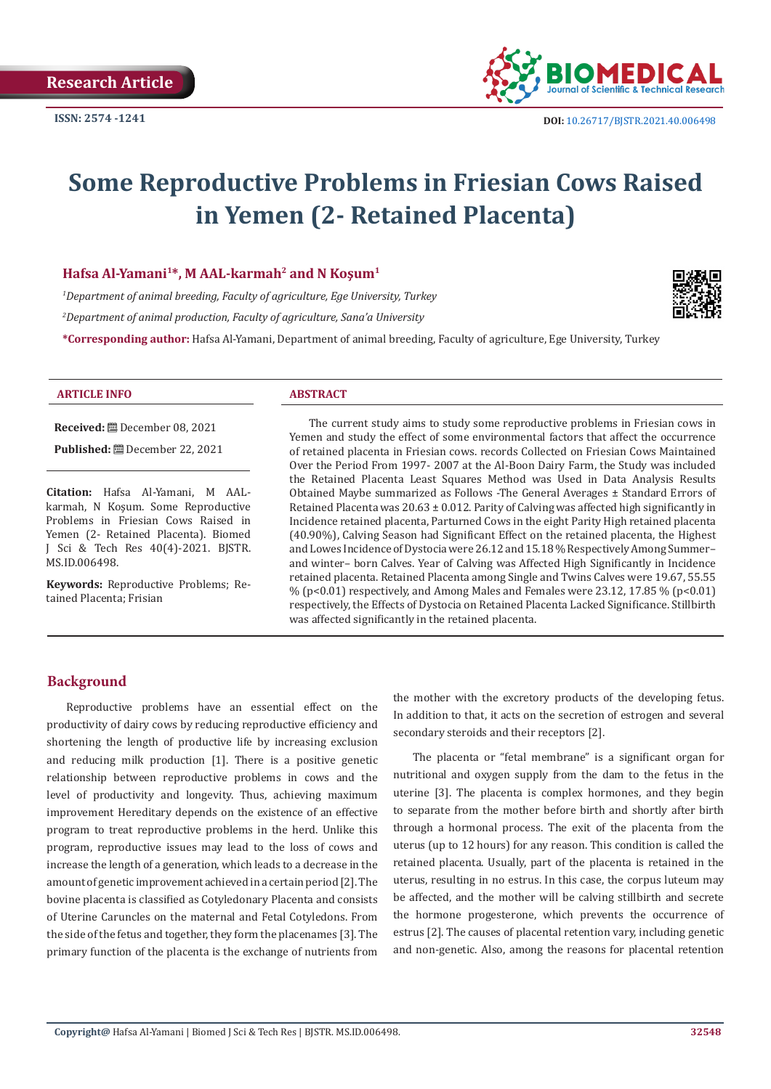

# **Some Reproductive Problems in Friesian Cows Raised in Yemen (2- Retained Placenta)**

#### **Hafsa Al-Yamani1\*, M AAL-karmah2 and N Koşum<sup>1</sup>**

*1 Department of animal breeding, Faculty of agriculture, Ege University, Turkey 2 Department of animal production, Faculty of agriculture, Sana'a University*

**\*Corresponding author:** Hafsa Al-Yamani, Department of animal breeding, Faculty of agriculture, Ege University, Turkey



#### **ARTICLE INFO ABSTRACT**

**Received:** December 08, 2021

**Published:** December 22, 2021

**Citation:** Hafsa Al-Yamani, M AALkarmah, N Koşum. Some Reproductive Problems in Friesian Cows Raised in Yemen (2- Retained Placenta). Biomed J Sci & Tech Res 40(4)-2021. BJSTR. MS.ID.006498.

**Keywords:** Reproductive Problems; Retained Placenta; Frisian

The current study aims to study some reproductive problems in Friesian cows in Yemen and study the effect of some environmental factors that affect the occurrence of retained placenta in Friesian cows. records Collected on Friesian Cows Maintained Over the Period From 1997- 2007 at the Al-Boon Dairy Farm, the Study was included the Retained Placenta Least Squares Method was Used in Data Analysis Results Obtained Maybe summarized as Follows -The General Averages ± Standard Errors of Retained Placenta was  $20.63 \pm 0.012$ . Parity of Calving was affected high significantly in Incidence retained placenta, Parturned Cows in the eight Parity High retained placenta (40.90%), Calving Season had Significant Effect on the retained placenta, the Highest and Lowes Incidence of Dystocia were 26.12 and 15.18 % Respectively Among Summer– and winter– born Calves. Year of Calving was Affected High Significantly in Incidence retained placenta. Retained Placenta among Single and Twins Calves were 19.67, 55.55  $\%$  (p<0.01) respectively, and Among Males and Females were 23.12, 17.85  $\%$  (p<0.01) respectively, the Effects of Dystocia on Retained Placenta Lacked Significance. Stillbirth was affected significantly in the retained placenta.

#### **Background**

Reproductive problems have an essential effect on the productivity of dairy cows by reducing reproductive efficiency and shortening the length of productive life by increasing exclusion and reducing milk production [1]. There is a positive genetic relationship between reproductive problems in cows and the level of productivity and longevity. Thus, achieving maximum improvement Hereditary depends on the existence of an effective program to treat reproductive problems in the herd. Unlike this program, reproductive issues may lead to the loss of cows and increase the length of a generation, which leads to a decrease in the amount of genetic improvement achieved in a certain period [2]. The bovine placenta is classified as Cotyledonary Placenta and consists of Uterine Caruncles on the maternal and Fetal Cotyledons. From the side of the fetus and together, they form the placenames [3]. The primary function of the placenta is the exchange of nutrients from the mother with the excretory products of the developing fetus. In addition to that, it acts on the secretion of estrogen and several secondary steroids and their receptors [2].

The placenta or "fetal membrane" is a significant organ for nutritional and oxygen supply from the dam to the fetus in the uterine [3]. The placenta is complex hormones, and they begin to separate from the mother before birth and shortly after birth through a hormonal process. The exit of the placenta from the uterus (up to 12 hours) for any reason. This condition is called the retained placenta. Usually, part of the placenta is retained in the uterus, resulting in no estrus. In this case, the corpus luteum may be affected, and the mother will be calving stillbirth and secrete the hormone progesterone, which prevents the occurrence of estrus [2]. The causes of placental retention vary, including genetic and non-genetic. Also, among the reasons for placental retention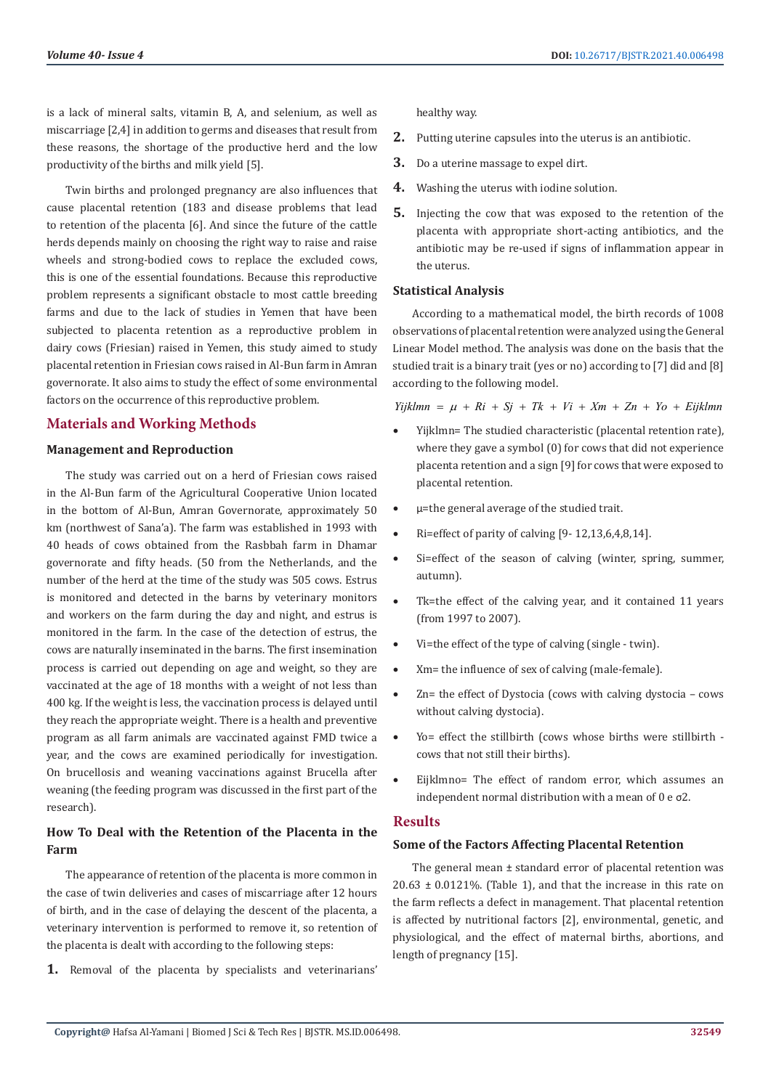is a lack of mineral salts, vitamin B, A, and selenium, as well as miscarriage [2,4] in addition to germs and diseases that result from these reasons, the shortage of the productive herd and the low productivity of the births and milk yield [5].

Twin births and prolonged pregnancy are also influences that cause placental retention (183 and disease problems that lead to retention of the placenta [6]. And since the future of the cattle herds depends mainly on choosing the right way to raise and raise wheels and strong-bodied cows to replace the excluded cows, this is one of the essential foundations. Because this reproductive problem represents a significant obstacle to most cattle breeding farms and due to the lack of studies in Yemen that have been subjected to placenta retention as a reproductive problem in dairy cows (Friesian) raised in Yemen, this study aimed to study placental retention in Friesian cows raised in Al-Bun farm in Amran governorate. It also aims to study the effect of some environmental factors on the occurrence of this reproductive problem.

#### **Materials and Working Methods**

#### **Management and Reproduction**

The study was carried out on a herd of Friesian cows raised in the Al-Bun farm of the Agricultural Cooperative Union located in the bottom of Al-Bun, Amran Governorate, approximately 50 km (northwest of Sana'a). The farm was established in 1993 with 40 heads of cows obtained from the Rasbbah farm in Dhamar governorate and fifty heads. (50 from the Netherlands, and the number of the herd at the time of the study was 505 cows. Estrus is monitored and detected in the barns by veterinary monitors and workers on the farm during the day and night, and estrus is monitored in the farm. In the case of the detection of estrus, the cows are naturally inseminated in the barns. The first insemination process is carried out depending on age and weight, so they are vaccinated at the age of 18 months with a weight of not less than 400 kg. If the weight is less, the vaccination process is delayed until they reach the appropriate weight. There is a health and preventive program as all farm animals are vaccinated against FMD twice a year, and the cows are examined periodically for investigation. On brucellosis and weaning vaccinations against Brucella after weaning (the feeding program was discussed in the first part of the research).

## **How To Deal with the Retention of the Placenta in the Farm**

The appearance of retention of the placenta is more common in the case of twin deliveries and cases of miscarriage after 12 hours of birth, and in the case of delaying the descent of the placenta, a veterinary intervention is performed to remove it, so retention of the placenta is dealt with according to the following steps:

**1.** Removal of the placenta by specialists and veterinarians'

healthy way.

- **2.** Putting uterine capsules into the uterus is an antibiotic.
- **3.** Do a uterine massage to expel dirt.
- **4.** Washing the uterus with iodine solution.
- **5.** Injecting the cow that was exposed to the retention of the placenta with appropriate short-acting antibiotics, and the antibiotic may be re-used if signs of inflammation appear in the uterus.

#### **Statistical Analysis**

According to a mathematical model, the birth records of 1008 observations of placental retention were analyzed using the General Linear Model method. The analysis was done on the basis that the studied trait is a binary trait (yes or no) according to [7] did and [8] according to the following model.

 $Yijklmn = \mu + Ri + Sj + Tk + Vi + Xm + Zn + Yo + Eijklmn$ 

- Yijklmn= The studied characteristic (placental retention rate), where they gave a symbol (0) for cows that did not experience placenta retention and a sign [9] for cows that were exposed to placental retention.
- • μ=the general average of the studied trait.
- $Ri =$ effect of parity of calving  $[9-12, 13, 6, 4, 8, 14]$ .
- Si=effect of the season of calving (winter, spring, summer, autumn).
- Tk=the effect of the calving year, and it contained 11 years (from 1997 to 2007).
- Vi=the effect of the type of calving (single twin).
- Xm= the influence of sex of calving (male-female).
- Zn= the effect of Dystocia (cows with calving dystocia  $-$  cows without calving dystocia).
- Yo= effect the stillbirth (cows whose births were stillbirth cows that not still their births).
- Eijklmno= The effect of random error, which assumes an independent normal distribution with a mean of 0 e σ2.

#### **Results**

#### **Some of the Factors Affecting Placental Retention**

The general mean ± standard error of placental retention was  $20.63 \pm 0.0121\%$ . (Table 1), and that the increase in this rate on the farm reflects a defect in management. That placental retention is affected by nutritional factors [2], environmental, genetic, and physiological, and the effect of maternal births, abortions, and length of pregnancy [15].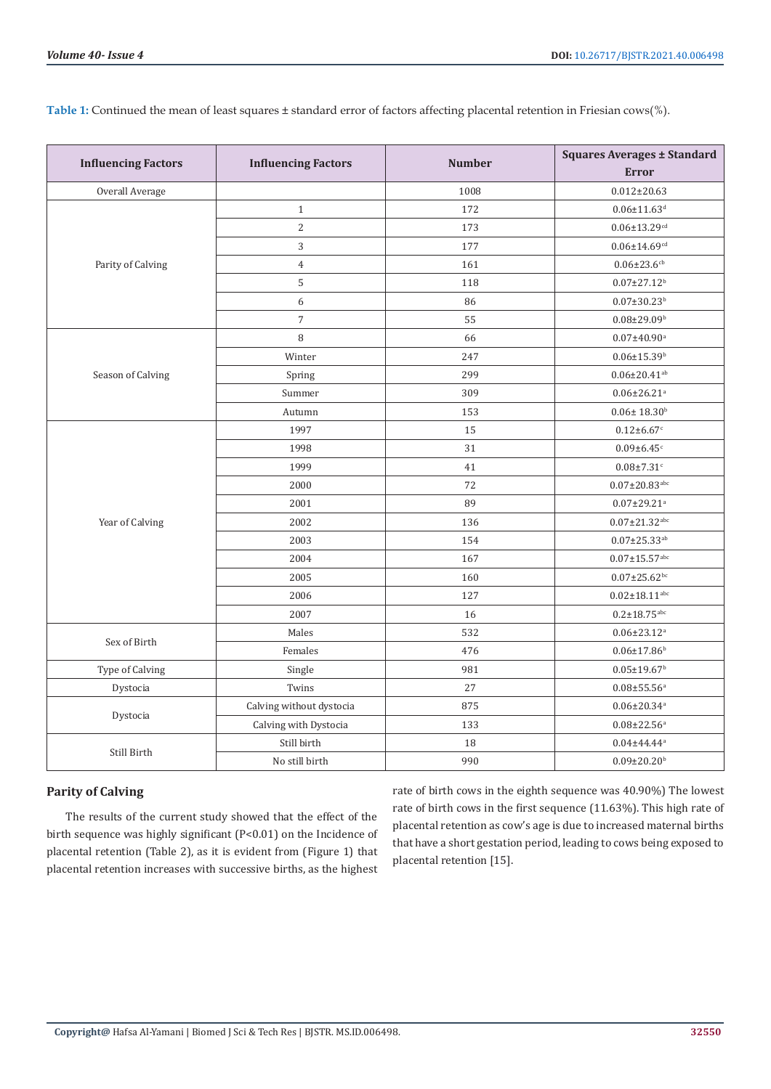| <b>Influencing Factors</b> | <b>Influencing Factors</b> | <b>Number</b> | <b>Squares Averages ± Standard</b> |
|----------------------------|----------------------------|---------------|------------------------------------|
|                            |                            |               | <b>Error</b>                       |
| Overall Average            |                            | 1008          | $0.012 \pm 20.63$                  |
| Parity of Calving          | $\,1\,$                    | 172           | $0.06 \pm 11.63$ <sup>d</sup>      |
|                            | $\mathbf{2}$               | 173           | $0.06 \pm 13.29$ cd                |
|                            | $\mathbf{3}$               | 177           | $0.06 \pm 14.69^{cd}$              |
|                            | $\overline{4}$             | 161           | $0.06 \pm 23.6$ cb                 |
|                            | 5                          | 118           | $0.07 \pm 27.12$ <sup>b</sup>      |
|                            | $\boldsymbol{6}$           | 86            | $0.07 \pm 30.23$ <sup>b</sup>      |
|                            | $\boldsymbol{7}$           | 55            | $0.08 \pm 29.09$ <sup>b</sup>      |
| Season of Calving          | 8                          | 66            | $0.07 \pm 40.90^{\rm a}$           |
|                            | Winter                     | 247           | $0.06 \pm 15.39^{\rm b}$           |
|                            | Spring                     | 299           | $0.06 \pm 20.41$ <sup>ab</sup>     |
|                            | Summer                     | 309           | $0.06 \pm 26.21$ <sup>a</sup>      |
|                            | Autumn                     | 153           | $0.06 \pm 18.30^{\rm b}$           |
| Year of Calving            | 1997                       | 15            | $0.12 \pm 6.67$ c                  |
|                            | 1998                       | 31            | $0.09 \pm 6.45$ <sup>c</sup>       |
|                            | 1999                       | 41            | $0.08{\pm}7.31^{\circ}$            |
|                            | 2000                       | 72            | $0.07 \pm 20.83$ abc               |
|                            | 2001                       | 89            | $0.07 \pm 29.21$ <sup>a</sup>      |
|                            | 2002                       | 136           | $0.07 \pm 21.32^{\mathrm{abc}}$    |
|                            | 2003                       | 154           | $0.07 \pm 25.33$ <sup>ab</sup>     |
|                            | 2004                       | 167           | $0.07{\pm}15.57^{\text{abc}}$      |
|                            | 2005                       | 160           | $0.07 \pm 25.62$ bc                |
|                            | 2006                       | 127           | $0.02{\pm}18.11^{\text{abc}}$      |
|                            | 2007                       | 16            | $0.2 \pm 18.75^{\text{abc}}$       |
| Sex of Birth               | Males                      | 532           | $0.06 \pm 23.12$ <sup>a</sup>      |
|                            | Females                    | 476           | $0.06 \pm 17.86$ <sup>b</sup>      |
| Type of Calving            | Single                     | 981           | $0.05 \pm 19.67$ <sup>b</sup>      |
| Dystocia                   | Twins                      | 27            | $0.08 + 55.56$ <sup>a</sup>        |
| Dystocia                   | Calving without dystocia   | 875           | $0.06 \pm 20.34$ <sup>a</sup>      |
|                            | Calving with Dystocia      | 133           | $0.08 \pm 22.56$ <sup>a</sup>      |
|                            | Still birth                | 18            | $0.04 \pm 44.44$ <sup>a</sup>      |
| Still Birth                | No still birth             | 990           | $0.09 \pm 20.20$ <sup>b</sup>      |
|                            |                            |               |                                    |

**Table 1:** Continued the mean of least squares ± standard error of factors affecting placental retention in Friesian cows(%).

### **Parity of Calving**

The results of the current study showed that the effect of the birth sequence was highly significant (P<0.01) on the Incidence of placental retention (Table 2), as it is evident from (Figure 1) that placental retention increases with successive births, as the highest

rate of birth cows in the eighth sequence was 40.90%) The lowest rate of birth cows in the first sequence (11.63%). This high rate of placental retention as cow's age is due to increased maternal births that have a short gestation period, leading to cows being exposed to placental retention [15].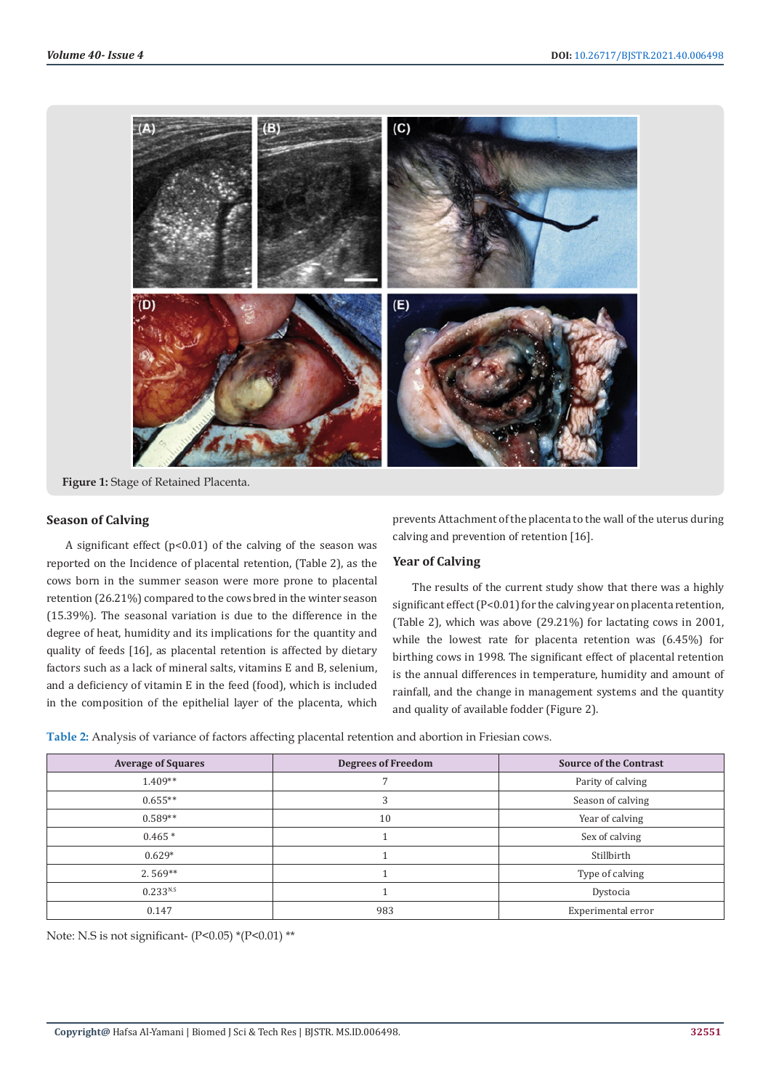

**Figure 1:** Stage of Retained Placenta.

#### **Season of Calving**

A significant effect  $(p<0.01)$  of the calving of the season was reported on the Incidence of placental retention, (Table 2), as the cows born in the summer season were more prone to placental retention (26.21%) compared to the cows bred in the winter season (15.39%). The seasonal variation is due to the difference in the degree of heat, humidity and its implications for the quantity and quality of feeds [16], as placental retention is affected by dietary factors such as a lack of mineral salts, vitamins E and B, selenium, and a deficiency of vitamin E in the feed (food), which is included in the composition of the epithelial layer of the placenta, which prevents Attachment of the placenta to the wall of the uterus during calving and prevention of retention [16].

#### **Year of Calving**

The results of the current study show that there was a highly significant effect (P<0.01) for the calving year on placenta retention, (Table 2), which was above (29.21%) for lactating cows in 2001, while the lowest rate for placenta retention was (6.45%) for birthing cows in 1998. The significant effect of placental retention is the annual differences in temperature, humidity and amount of rainfall, and the change in management systems and the quantity and quality of available fodder (Figure 2).

**Table 2:** Analysis of variance of factors affecting placental retention and abortion in Friesian cows.

| <b>Average of Squares</b> | <b>Degrees of Freedom</b> | <b>Source of the Contrast</b> |
|---------------------------|---------------------------|-------------------------------|
| $1.409**$                 |                           | Parity of calving             |
| $0.655**$                 | 3                         | Season of calving             |
| $0.589**$                 | 10                        | Year of calving               |
| $0.465*$                  |                           | Sex of calving                |
| $0.629*$                  |                           | Stillbirth                    |
| $2.569**$                 |                           | Type of calving               |
| 0.233 <sup>N.S</sup>      |                           | Dystocia                      |
| 0.147                     | 983                       | Experimental error            |

Note: N.S is not significant-  $(P<0.05)$  \* $(P<0.01)$  \*\*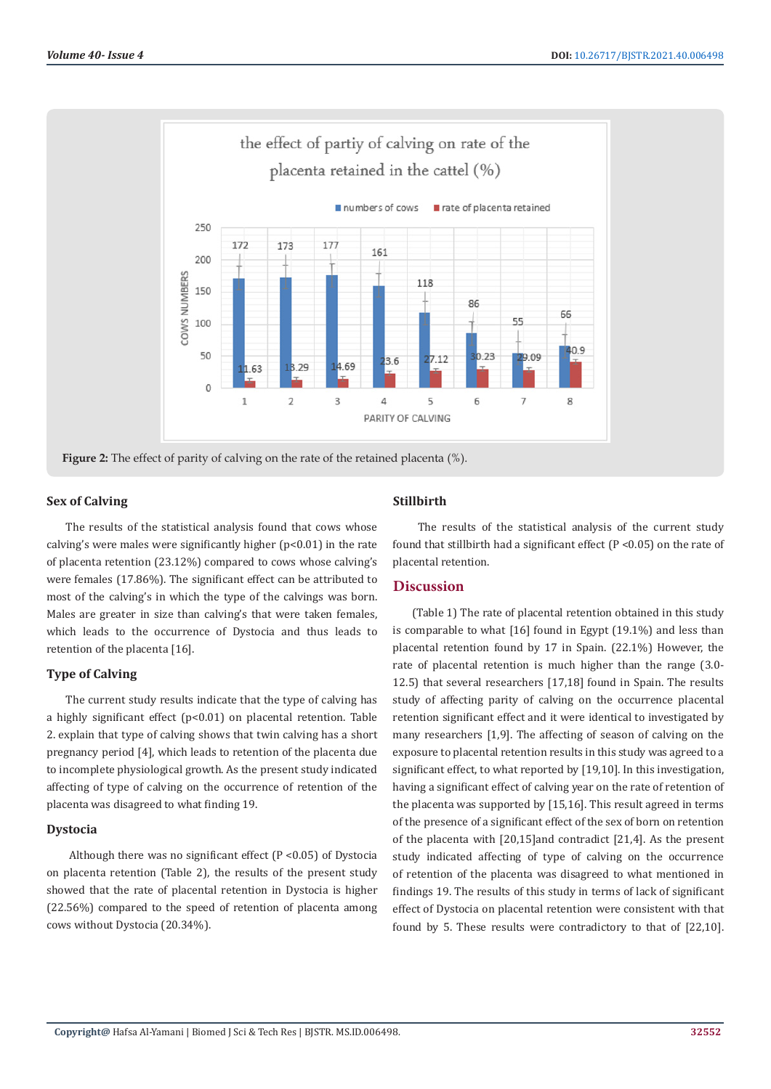

#### **Sex of Calving**

The results of the statistical analysis found that cows whose calving's were males were significantly higher  $(p<0.01)$  in the rate of placenta retention (23.12%) compared to cows whose calving's were females (17.86%). The significant effect can be attributed to most of the calving's in which the type of the calvings was born. Males are greater in size than calving's that were taken females, which leads to the occurrence of Dystocia and thus leads to retention of the placenta [16].

#### **Type of Calving**

The current study results indicate that the type of calving has a highly significant effect (p<0.01) on placental retention. Table 2. explain that type of calving shows that twin calving has a short pregnancy period [4], which leads to retention of the placenta due to incomplete physiological growth. As the present study indicated affecting of type of calving on the occurrence of retention of the placenta was disagreed to what finding 19.

#### **Dystocia**

Although there was no significant effect  $(P < 0.05)$  of Dystocia on placenta retention (Table 2), the results of the present study showed that the rate of placental retention in Dystocia is higher (22.56%) compared to the speed of retention of placenta among cows without Dystocia (20.34%).

#### **Stillbirth**

 The results of the statistical analysis of the current study found that stillbirth had a significant effect (P <0.05) on the rate of placental retention.

#### **Discussion**

(Table 1) The rate of placental retention obtained in this study is comparable to what [16] found in Egypt (19.1%) and less than placental retention found by 17 in Spain. (22.1%) However, the rate of placental retention is much higher than the range (3.0- 12.5) that several researchers [17,18] found in Spain. The results study of affecting parity of calving on the occurrence placental retention significant effect and it were identical to investigated by many researchers [1,9]. The affecting of season of calving on the exposure to placental retention results in this study was agreed to a significant effect, to what reported by [19,10]. In this investigation, having a significant effect of calving year on the rate of retention of the placenta was supported by [15,16]. This result agreed in terms of the presence of a significant effect of the sex of born on retention of the placenta with [20,15]and contradict [21,4]. As the present study indicated affecting of type of calving on the occurrence of retention of the placenta was disagreed to what mentioned in findings 19. The results of this study in terms of lack of significant effect of Dystocia on placental retention were consistent with that found by 5. These results were contradictory to that of [22,10].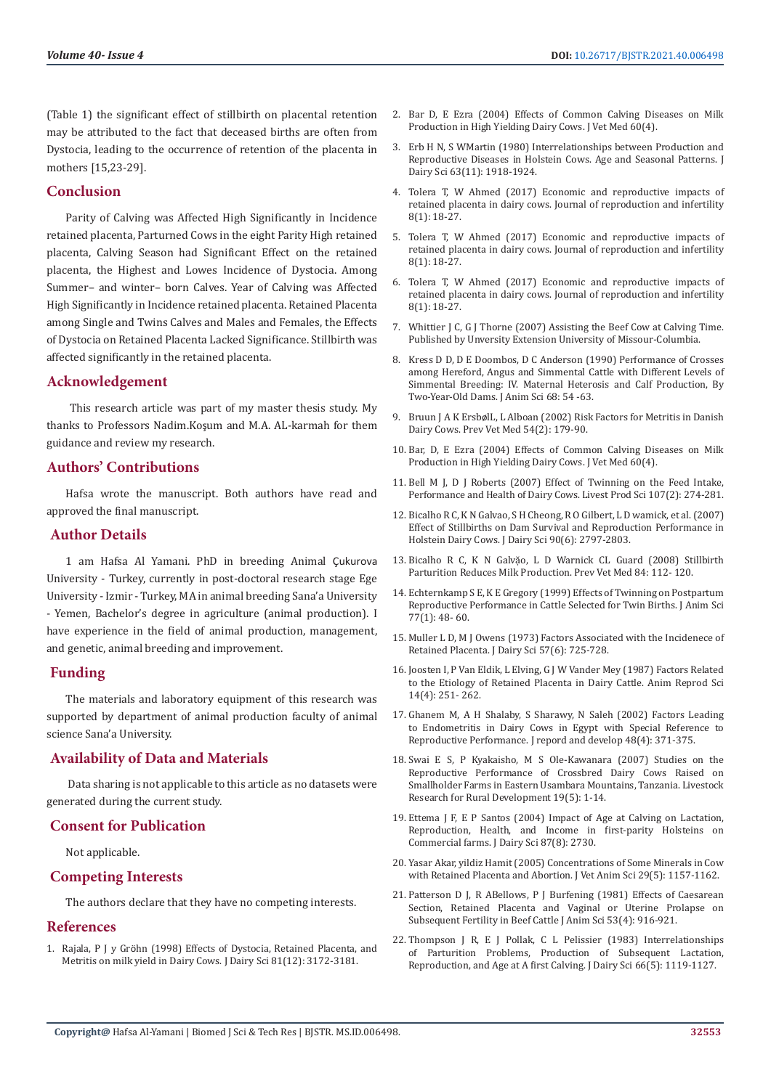(Table 1) the significant effect of stillbirth on placental retention may be attributed to the fact that deceased births are often from Dystocia, leading to the occurrence of retention of the placenta in mothers [15,23-29].

#### **Conclusion**

Parity of Calving was Affected High Significantly in Incidence retained placenta, Parturned Cows in the eight Parity High retained placenta, Calving Season had Significant Effect on the retained placenta, the Highest and Lowes Incidence of Dystocia. Among Summer– and winter– born Calves. Year of Calving was Affected High Significantly in Incidence retained placenta. Retained Placenta among Single and Twins Calves and Males and Females, the Effects of Dystocia on Retained Placenta Lacked Significance. Stillbirth was affected significantly in the retained placenta.

#### **Acknowledgement**

 This research article was part of my master thesis study. My thanks to Professors Nadim.Koşum and M.A. AL-karmah for them guidance and review my research.

#### **Authors' Contributions**

Hafsa wrote the manuscript. Both authors have read and approved the final manuscript.

#### **Author Details**

1 am Hafsa Al Yamani. PhD in breeding Animal Çukurova University - Turkey, currently in post-doctoral research stage Ege University - Izmir - Turkey, MA in animal breeding Sana'a University - Yemen, Bachelor's degree in agriculture (animal production). I have experience in the field of animal production, management, and genetic, animal breeding and improvement.

#### **Funding**

The materials and laboratory equipment of this research was supported by department of animal production faculty of animal science Sana'a University.

#### **Availability of Data and Materials**

 Data sharing is not applicable to this article as no datasets were generated during the current study.

### **Consent for Publication**

Not applicable.

#### **Competing Interests**

The authors declare that they have no competing interests.

#### **References**

1. Rajala, P J y Grö[hn \(1998\) Effects of Dystocia, Retained Placenta, and](https://pubmed.ncbi.nlm.nih.gov/9891264/)  [Metritis on milk yield in Dairy Cows. J Dairy Sci 81\(12\): 3172-3181.](https://pubmed.ncbi.nlm.nih.gov/9891264/)

- 2. Bar D, E Ezra (2004) Effects of Common Calving Diseases on Milk Production in High Yielding Dairy Cows. J Vet Med 60(4).
- 3. [Erb H N, S WMartin \(1980\) Interrelationships between Production and](https://pubmed.ncbi.nlm.nih.gov/7440822/) [Reproductive Diseases in Holstein Cows. Age and Seasonal Patterns. J](https://pubmed.ncbi.nlm.nih.gov/7440822/) [Dairy Sci 63\(11\): 1918-1924.](https://pubmed.ncbi.nlm.nih.gov/7440822/)
- 4. [Tolera T, W Ahmed \(2017\) Economic and reproductive impacts of](https://www.researchgate.net/publication/317617884_Economic_and_Reproductive_Impacts_of_Retained_Placenta_in_Dairy_Cows) [retained placenta in dairy cows. Journal of reproduction and infertility](https://www.researchgate.net/publication/317617884_Economic_and_Reproductive_Impacts_of_Retained_Placenta_in_Dairy_Cows) [8\(1\): 18-27.](https://www.researchgate.net/publication/317617884_Economic_and_Reproductive_Impacts_of_Retained_Placenta_in_Dairy_Cows)
- 5. [Tolera T, W Ahmed \(2017\) Economic and reproductive impacts of](https://www.researchgate.net/publication/317617884_Economic_and_Reproductive_Impacts_of_Retained_Placenta_in_Dairy_Cows) [retained placenta in dairy cows. Journal of reproduction and infertility](https://www.researchgate.net/publication/317617884_Economic_and_Reproductive_Impacts_of_Retained_Placenta_in_Dairy_Cows) [8\(1\): 18-27.](https://www.researchgate.net/publication/317617884_Economic_and_Reproductive_Impacts_of_Retained_Placenta_in_Dairy_Cows)
- 6. [Tolera T, W Ahmed \(2017\) Economic and reproductive impacts of](https://www.researchgate.net/publication/317617884_Economic_and_Reproductive_Impacts_of_Retained_Placenta_in_Dairy_Cows) [retained placenta in dairy cows. Journal of reproduction and infertility](https://www.researchgate.net/publication/317617884_Economic_and_Reproductive_Impacts_of_Retained_Placenta_in_Dairy_Cows) [8\(1\): 18-27.](https://www.researchgate.net/publication/317617884_Economic_and_Reproductive_Impacts_of_Retained_Placenta_in_Dairy_Cows)
- 7. Whittier J C, G J Thorne (2007) Assisting the Beef Cow at Calving Time. Published by Unversity Extension University of Missour-Columbia.
- 8. Kress D D, D E Doombos, D C Anderson (1990) Performance of Crosses among Hereford, Angus and Simmental Cattle with Different Levels of Simmental Breeding: IV. Maternal Heterosis and Calf Production, By Two-Year-Old Dams. J Anim Sci 68: 54 -63.
- 9. Bruun J A K Ersbø[lL, L Alboan \(2002\) Risk Factors for Metritis in Danish](https://pubmed.ncbi.nlm.nih.gov/12069780/) [Dairy Cows. Prev Vet Med 54\(2\): 179-90.](https://pubmed.ncbi.nlm.nih.gov/12069780/)
- 10. Bar, D, E Ezra (2004) Effects of Common Calving Diseases on Milk Production in High Yielding Dairy Cows. J Vet Med 60(4).
- 11. [Bell M J, D J Roberts \(2007\) Effect of Twinning on the Feed Intake,](https://www.researchgate.net/publication/248565444_Effect_of_twinning_on_the_feed_intake_performance_and_health_of_dairy_cows) [Performance and Health of Dairy Cows. Livest Prod Sci 107\(2\): 274-281.](https://www.researchgate.net/publication/248565444_Effect_of_twinning_on_the_feed_intake_performance_and_health_of_dairy_cows)
- 12. [Bicalho R C, K N Galvao, S H Cheong, R O Gilbert, L D wamick, et al. \(2007\)](https://pubmed.ncbi.nlm.nih.gov/17517720/) [Effect of Stillbirths on Dam Survival and Reproduction Performance in](https://pubmed.ncbi.nlm.nih.gov/17517720/) [Holstein Dairy Cows. J Dairy Sci 90\(6\): 2797-2803.](https://pubmed.ncbi.nlm.nih.gov/17517720/)
- 13. [Bicalho R C, K N Galvặo, L D Warnick CL Guard \(2008\) Stillbirth](https://pubmed.ncbi.nlm.nih.gov/18191485/) [Parturition Reduces Milk Production. Prev Vet Med 84: 112- 120.](https://pubmed.ncbi.nlm.nih.gov/18191485/)
- 14. [Echternkamp S E, K E Gregory \(1999\) Effects of Twinning on Postpartum](https://www.researchgate.net/publication/13226682_Effects_of_twinning_on_postpartum_reproductive_performance_in_cattle_selected_for_twin_births) [Reproductive Performance in Cattle Selected for Twin Births. J Anim Sci](https://www.researchgate.net/publication/13226682_Effects_of_twinning_on_postpartum_reproductive_performance_in_cattle_selected_for_twin_births) [77\(1\): 48- 60.](https://www.researchgate.net/publication/13226682_Effects_of_twinning_on_postpartum_reproductive_performance_in_cattle_selected_for_twin_births)
- 15. Muller L D, M J Owens (1973) Factors Associated with the Incidenece of Retained Placenta. J Dairy Sci 57(6): 725-728.
- 16. [Joosten I, P Van Eldik, L Elving, G J W Vander Mey \(1987\) Factors Related](https://www.sciencedirect.com/science/article/abs/pii/0378432087900157) [to the Etiology of Retained Placenta in Dairy Cattle. Anim Reprod Sci](https://www.sciencedirect.com/science/article/abs/pii/0378432087900157) [14\(4\): 251- 262.](https://www.sciencedirect.com/science/article/abs/pii/0378432087900157)
- 17. [Ghanem M, A H Shalaby, S Sharawy, N Saleh \(2002\) Factors Leading](https://www.researchgate.net/publication/249884628_Factors_Leading_to_Endometritis_in_Dairy_Cows_in_Egypt_with_Special_Reference_to_Reproductive_Performance) [to Endometritis in Dairy Cows in Egypt with Special Reference to](https://www.researchgate.net/publication/249884628_Factors_Leading_to_Endometritis_in_Dairy_Cows_in_Egypt_with_Special_Reference_to_Reproductive_Performance) [Reproductive Performance. J repord and develop 48\(4\): 371-375.](https://www.researchgate.net/publication/249884628_Factors_Leading_to_Endometritis_in_Dairy_Cows_in_Egypt_with_Special_Reference_to_Reproductive_Performance)
- 18. [Swai E S, P Kyakaisho, M S Ole-Kawanara \(2007\) Studies on the](http://www.lrrd.org/lrrd19/5/swai19061.htm) [Reproductive Performance of Crossbred Dairy Cows Raised on](http://www.lrrd.org/lrrd19/5/swai19061.htm) [Smallholder Farms in Eastern Usambara Mountains, Tanzania. Livestock](http://www.lrrd.org/lrrd19/5/swai19061.htm) [Research for Rural Development 19\(5\): 1-14.](http://www.lrrd.org/lrrd19/5/swai19061.htm)
- 19. [Ettema J F, E P Santos \(2004\) Impact of Age at Calving on Lactation,](https://pubmed.ncbi.nlm.nih.gov/15328299/) [Reproduction, Health, and Income in first-parity Holsteins on](https://pubmed.ncbi.nlm.nih.gov/15328299/) [Commercial farms. J Dairy Sci 87\(8\): 2730.](https://pubmed.ncbi.nlm.nih.gov/15328299/)
- 20. [Yasar Akar, yildiz Hamit \(2005\) Concentrations of Some Minerals in Cow](https://www.researchgate.net/publication/289204628_Concentrations_of_some_minerals_in_cows_with_retained_placenta_and_abortion) [with Retained Placenta and Abortion. J Vet Anim Sci 29\(5\): 1157-1162.](https://www.researchgate.net/publication/289204628_Concentrations_of_some_minerals_in_cows_with_retained_placenta_and_abortion)
- 21. [Patterson D J, R ABellows, P J Burfening \(1981\) Effects of Caesarean](https://pubmed.ncbi.nlm.nih.gov/7319962/) [Section, Retained Placenta and Vaginal or Uterine Prolapse on](https://pubmed.ncbi.nlm.nih.gov/7319962/) [Subsequent Fertility in Beef Cattle J Anim Sci 53\(4\): 916-921.](https://pubmed.ncbi.nlm.nih.gov/7319962/)
- 22. [Thompson J R, E J Pollak, C L Pelissier \(1983\) Interrelationships](https://www.sciencedirect.com/science/article/pii/S0022030283819092) [of Parturition Problems, Production of Subsequent Lactation,](https://www.sciencedirect.com/science/article/pii/S0022030283819092) [Reproduction, and Age at A first Calving. J Dairy Sci 66\(5\): 1119-1127.](https://www.sciencedirect.com/science/article/pii/S0022030283819092)